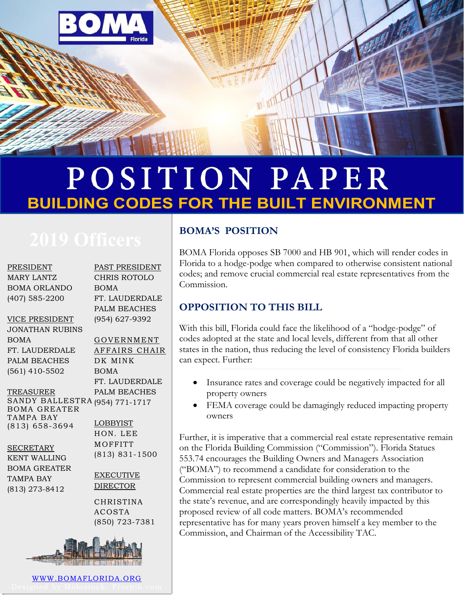

## POSITION PAPER **BUILDING CODES FOR THE BUILT ENVIRONMENT**

**PRESIDENT** MARY LANTZ BOMA ORLANDO (407) 585-2200

VICE PRESIDENT

JONATHAN RUBINS BOMA FT. LAUDERDALE PALM BEACHES (561) 410-5502

TREASURER

SANDY BALLESTRA (954) 771-1717 BOMA GREATER TAMPA BAY (813) 658-3694

**SECRETARY** KENT WALLING BOMA GREATER TAMPA BAY (813) 273-8412

PAST PRESIDENT CHRIS ROTOLO BOMA FT. LAUDERDALE PALM BEACHES (954) 627-9392

GOVERNMENT AFFAIRS CHAIR DK MINK BOMA FT. LAUDERDALE PALM BEACHES

LOBBYIST HON. LEE **MOFFITT** (813) 831-1500

EXECUTIVE DIRECTOR

CHRISTINA ACOSTA (850) 723-7381



[WWW.BOMAFLORIDA.ORG](http://www.bomaflorida.org/)

### **BOMA'S POSITION**

BOMA Florida opposes SB 7000 and HB 901, which will render codes in Florida to a hodge-podge when compared to otherwise consistent national codes; and remove crucial commercial real estate representatives from the Commission.

### **OPPOSITION TO THIS BILL**

With this bill, Florida could face the likelihood of a "hodge-podge" of codes adopted at the state and local levels, different from that all other states in the nation, thus reducing the level of consistency Florida builders can expect. Further:

- Insurance rates and coverage could be negatively impacted for all property owners
- FEMA coverage could be damagingly reduced impacting property owners

Further, it is imperative that a commercial real estate representative remain on the Florida Building Commission ("Commission"). Florida Statues 553.74 encourages the Building Owners and Managers Association ("BOMA") to recommend a candidate for consideration to the Commission to represent commercial building owners and managers. Commercial real estate properties are the third largest tax contributor to the state's revenue, and are correspondingly heavily impacted by this proposed review of all code matters. BOMA's recommended representative has for many years proven himself a key member to the Commission, and Chairman of the Accessibility TAC.